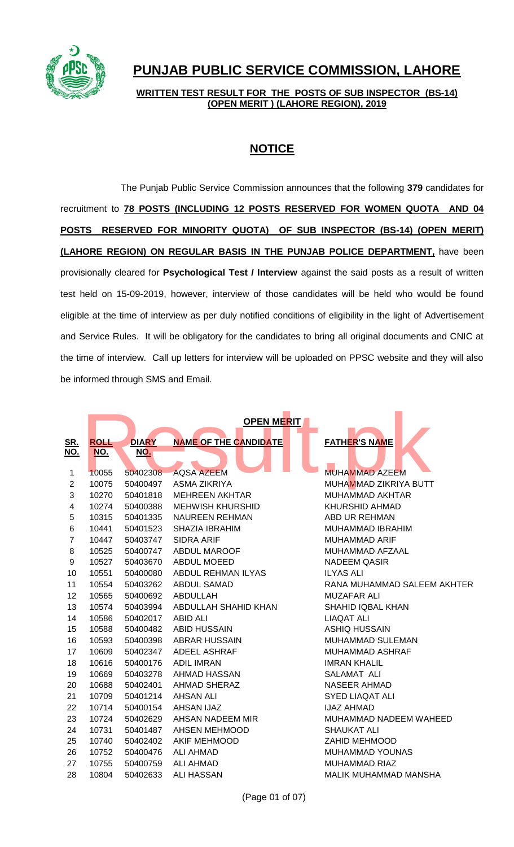

## **PUNJAB PUBLIC SERVICE COMMISSION, LAHORE**

**WRITTEN TEST RESULT FOR THE POSTS OF SUB INSPECTOR (BS-14) (OPEN MERIT ) (LAHORE REGION), 2019**

## **NOTICE**

The Punjab Public Service Commission announces that the following **379** candidates for recruitment to **78 POSTS (INCLUDING 12 POSTS RESERVED FOR WOMEN QUOTA AND 04 POSTS RESERVED FOR MINORITY QUOTA) OF SUB INSPECTOR (BS-14) (OPEN MERIT) (LAHORE REGION) ON REGULAR BASIS IN THE PUNJAB POLICE DEPARTMENT,** have been provisionally cleared for **Psychological Test / Interview** against the said posts as a result of written test held on 15-09-2019, however, interview of those candidates will be held who would be found eligible at the time of interview as per duly notified conditions of eligibility in the light of Advertisement and Service Rules. It will be obligatory for the candidates to bring all original documents and CNIC at the time of interview. Call up letters for interview will be uploaded on PPSC website and they will also be informed through SMS and Email.

|                | <b>OPEN MERIT</b> |              |                              |                              |  |  |  |  |
|----------------|-------------------|--------------|------------------------------|------------------------------|--|--|--|--|
| <u>SR.</u>     | <b>ROLL</b>       | <b>DIARY</b> | <b>NAME OF THE CANDIDATE</b> | <b>FATHER'S NAME</b>         |  |  |  |  |
| NO.            | NO.               | <u>NO.</u>   |                              |                              |  |  |  |  |
|                |                   |              |                              |                              |  |  |  |  |
| 1              | 10055             | 50402308     | <b>AQSA AZEEM</b>            | <b>MUHAMMAD AZEEM</b>        |  |  |  |  |
| $\overline{2}$ | 10075             | 50400497     | <b>ASMA ZIKRIYA</b>          | MUHAMMAD ZIKRIYA BUTT        |  |  |  |  |
| 3              | 10270             | 50401818     | <b>MEHREEN AKHTAR</b>        | MUHAMMAD AKHTAR              |  |  |  |  |
| 4              | 10274             | 50400388     | <b>MEHWISH KHURSHID</b>      | <b>KHURSHID AHMAD</b>        |  |  |  |  |
| 5              | 10315             | 50401335     | <b>NAUREEN REHMAN</b>        | ABD UR REHMAN                |  |  |  |  |
| 6              | 10441             | 50401523     | <b>SHAZIA IBRAHIM</b>        | <b>MUHAMMAD IBRAHIM</b>      |  |  |  |  |
| $\overline{7}$ | 10447             | 50403747     | <b>SIDRA ARIF</b>            | <b>MUHAMMAD ARIF</b>         |  |  |  |  |
| 8              | 10525             | 50400747     | <b>ABDUL MAROOF</b>          | MUHAMMAD AFZAAL              |  |  |  |  |
| 9              | 10527             | 50403670     | <b>ABDUL MOEED</b>           | <b>NADEEM QASIR</b>          |  |  |  |  |
| 10             | 10551             | 50400080     | ABDUL REHMAN ILYAS           | <b>ILYAS ALI</b>             |  |  |  |  |
| 11             | 10554             | 50403262     | <b>ABDUL SAMAD</b>           | RANA MUHAMMAD SALEEM AKHTER  |  |  |  |  |
| 12             | 10565             | 50400692     | ABDULLAH                     | <b>MUZAFAR ALI</b>           |  |  |  |  |
| 13             | 10574             | 50403994     | ABDULLAH SHAHID KHAN         | <b>SHAHID IQBAL KHAN</b>     |  |  |  |  |
| 14             | 10586             | 50402017     | ABID ALI                     | <b>LIAQAT ALI</b>            |  |  |  |  |
| 15             | 10588             | 50400482     | <b>ABID HUSSAIN</b>          | <b>ASHIQ HUSSAIN</b>         |  |  |  |  |
| 16             | 10593             | 50400398     | <b>ABRAR HUSSAIN</b>         | MUHAMMAD SULEMAN             |  |  |  |  |
| 17             | 10609             | 50402347     | <b>ADEEL ASHRAF</b>          | <b>MUHAMMAD ASHRAF</b>       |  |  |  |  |
| 18             | 10616             | 50400176     | <b>ADIL IMRAN</b>            | <b>IMRAN KHALIL</b>          |  |  |  |  |
| 19             | 10669             | 50403278     | AHMAD HASSAN                 | SALAMAT ALI                  |  |  |  |  |
| 20             | 10688             | 50402401     | <b>AHMAD SHERAZ</b>          | <b>NASEER AHMAD</b>          |  |  |  |  |
| 21             | 10709             | 50401214     | <b>AHSAN ALI</b>             | <b>SYED LIAQAT ALI</b>       |  |  |  |  |
| 22             | 10714             | 50400154     | AHSAN IJAZ                   | <b>IJAZ AHMAD</b>            |  |  |  |  |
| 23             | 10724             | 50402629     | AHSAN NADEEM MIR             | MUHAMMAD NADEEM WAHEED       |  |  |  |  |
| 24             | 10731             | 50401487     | <b>AHSEN MEHMOOD</b>         | <b>SHAUKAT ALI</b>           |  |  |  |  |
| 25             | 10740             | 50402402     | <b>AKIF MEHMOOD</b>          | <b>ZAHID MEHMOOD</b>         |  |  |  |  |
| 26             | 10752             | 50400476     | <b>ALI AHMAD</b>             | <b>MUHAMMAD YOUNAS</b>       |  |  |  |  |
| 27             | 10755             | 50400759     | <b>ALI AHMAD</b>             | <b>MUHAMMAD RIAZ</b>         |  |  |  |  |
| 28             | 10804             | 50402633     | <b>ALI HASSAN</b>            | <b>MALIK MUHAMMAD MANSHA</b> |  |  |  |  |
|                |                   |              |                              |                              |  |  |  |  |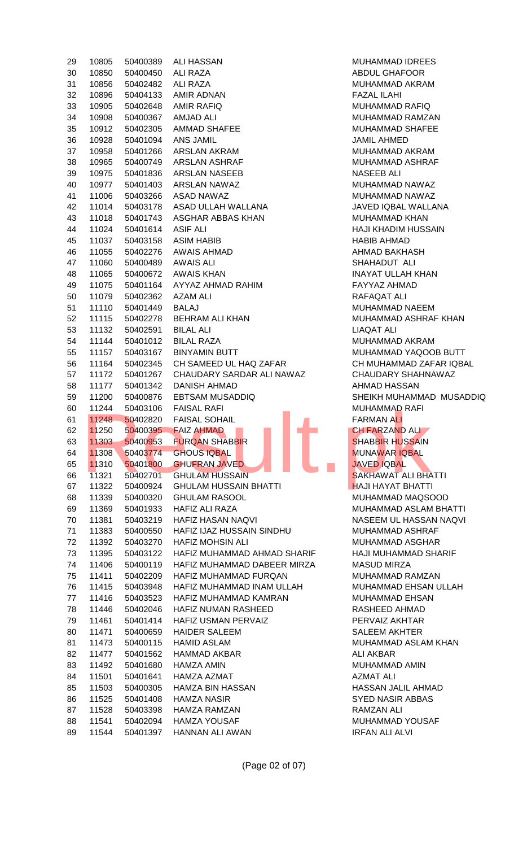| 29 | 10805 | 50400389 | ALI HASSAN                   | <b>MUHAMMAD IDREE</b>   |
|----|-------|----------|------------------------------|-------------------------|
| 30 | 10850 | 50400450 | <b>ALI RAZA</b>              | ABDUL GHAFOOR           |
| 31 | 10856 | 50402482 | <b>ALI RAZA</b>              | MUHAMMAD AKRAM          |
| 32 | 10896 | 50404133 | AMIR ADNAN                   | <b>FAZAL ILAHI</b>      |
| 33 | 10905 | 50402648 | <b>AMIR RAFIQ</b>            | <b>MUHAMMAD RAFIQ</b>   |
| 34 | 10908 | 50400367 | <b>AMJAD ALI</b>             | MUHAMMAD RAMZ/          |
| 35 | 10912 | 50402305 | <b>AMMAD SHAFEE</b>          | MUHAMMAD SHAFE          |
|    |       |          |                              |                         |
| 36 | 10928 | 50401094 | ANS JAMIL                    | <b>JAMIL AHMED</b>      |
| 37 | 10958 | 50401266 | <b>ARSLAN AKRAM</b>          | MUHAMMAD AKRAM          |
| 38 | 10965 | 50400749 | ARSLAN ASHRAF                | MUHAMMAD ASHRA          |
| 39 | 10975 | 50401836 | ARSLAN NASEEB                | <b>NASEEB ALI</b>       |
| 40 | 10977 | 50401403 | <b>ARSLAN NAWAZ</b>          | MUHAMMAD NAWA           |
| 41 | 11006 | 50403266 | <b>ASAD NAWAZ</b>            | MUHAMMAD NAWA           |
| 42 | 11014 | 50403178 | ASAD ULLAH WALLANA           | JAVED IQBAL WALL        |
| 43 | 11018 | 50401743 | ASGHAR ABBAS KHAN            | MUHAMMAD KHAN           |
| 44 | 11024 | 50401614 | <b>ASIF ALI</b>              | <b>HAJI KHADIM HUSS</b> |
| 45 | 11037 | 50403158 | <b>ASIM HABIB</b>            | <b>HABIB AHMAD</b>      |
| 46 | 11055 | 50402276 | <b>AWAIS AHMAD</b>           | AHMAD BAKHASH           |
| 47 | 11060 | 50400489 | <b>AWAIS ALI</b>             | SHAHADUT ALI            |
| 48 | 11065 | 50400672 | <b>AWAIS KHAN</b>            | <b>INAYAT ULLAH KHA</b> |
| 49 | 11075 | 50401164 | AYYAZ AHMAD RAHIM            | FAYYAZ AHMAD            |
| 50 | 11079 | 50402362 | <b>AZAM ALI</b>              | RAFAQAT ALI             |
| 51 | 11110 | 50401449 | <b>BALAJ</b>                 | MUHAMMAD NAEEN          |
| 52 | 11115 | 50402278 | <b>BEHRAM ALI KHAN</b>       | MUHAMMAD ASHRA          |
| 53 | 11132 | 50402591 | <b>BILAL ALI</b>             | <b>LIAQAT ALI</b>       |
| 54 | 11144 | 50401012 | <b>BILAL RAZA</b>            | MUHAMMAD AKRAM          |
| 55 | 11157 | 50403167 | <b>BINYAMIN BUTT</b>         | MUHAMMAD YAQO           |
| 56 | 11164 | 50402345 | CH SAMEED UL HAQ ZAFAR       | CH MUHAMMAD ZAI         |
| 57 | 11172 | 50401267 | CHAUDARY SARDAR ALI NAWAZ    | <b>CHAUDARY SHAHN</b>   |
| 58 | 11177 | 50401342 | <b>DANISH AHMAD</b>          | AHMAD HASSAN            |
| 59 | 11200 | 50400876 | <b>EBTSAM MUSADDIQ</b>       | SHEIKH MUHAMMAI         |
| 60 | 11244 | 50403106 | <b>FAISAL RAFI</b>           | <b>MUHAMMAD RAFI</b>    |
| 61 | 11248 | 50402820 | <b>FAISAL SOHAIL</b>         | <b>FARMAN ALI</b>       |
| 62 | 11250 |          | 50400395    FAIZ AHMAD       | <b>CH FARZAND ALL</b>   |
| 63 | 11303 | 50400953 | <b>FURQAN SHABBIR</b>        | <b>SHABBIR HUSSAIN</b>  |
| 64 | 11308 | 50403774 | <b>GHOUS IQBAL</b>           | <b>MUNAWAR IQBAL</b>    |
| 65 | 11310 | 50401800 | <b>GHUFRAN JAVED</b>         | <b>JAVED IQBAL</b>      |
| 66 | 11321 | 50402701 | <b>GHULAM HUSSAIN</b>        | SAKHAWAT ALI BHA        |
| 67 | 11322 | 50400924 | <b>GHULAM HUSSAIN BHATTI</b> | <b>HAJI HAYAT BHATT</b> |
|    |       |          |                              |                         |
| 68 | 11339 | 50400320 | <b>GHULAM RASOOL</b>         | MUHAMMAD MAQS           |
| 69 | 11369 | 50401933 | <b>HAFIZ ALI RAZA</b>        | MUHAMMAD ASLAM          |
| 70 | 11381 | 50403219 | HAFIZ HASAN NAQVI            | NASEEM UL HASSA         |
| 71 | 11383 | 50400550 | HAFIZ IJAZ HUSSAIN SINDHU    | MUHAMMAD ASHRA          |
| 72 | 11392 | 50403270 | <b>HAFIZ MOHSIN ALI</b>      | MUHAMMAD ASGHA          |
| 73 | 11395 | 50403122 | HAFIZ MUHAMMAD AHMAD SHARIF  | <b>HAJI MUHAMMAD S</b>  |
| 74 | 11406 | 50400119 | HAFIZ MUHAMMAD DABEER MIRZA  | <b>MASUD MIRZA</b>      |
| 75 | 11411 | 50402209 | HAFIZ MUHAMMAD FURQAN        | MUHAMMAD RAMZ/          |
| 76 | 11415 | 50403948 | HAFIZ MUHAMMAD INAM ULLAH    | MUHAMMAD EHSAN          |
| 77 | 11416 | 50403523 | HAFIZ MUHAMMAD KAMRAN        | <b>MUHAMMAD EHSAN</b>   |
| 78 | 11446 | 50402046 | <b>HAFIZ NUMAN RASHEED</b>   | RASHEED AHMAD           |
| 79 | 11461 | 50401414 | HAFIZ USMAN PERVAIZ          | PERVAIZ AKHTAR          |
| 80 | 11471 | 50400659 | <b>HAIDER SALEEM</b>         | SALEEM AKHTER           |
| 81 | 11473 | 50400115 | <b>HAMID ASLAM</b>           | MUHAMMAD ASLAM          |
| 82 | 11477 | 50401562 | <b>HAMMAD AKBAR</b>          | ALI AKBAR               |
| 83 | 11492 | 50401680 | <b>HAMZA AMIN</b>            | MUHAMMAD AMIN           |
| 84 | 11501 | 50401641 | HAMZA AZMAT                  | <b>AZMAT ALI</b>        |
| 85 | 11503 | 50400305 | HAMZA BIN HASSAN             | <b>HASSAN JALIL AHM</b> |
| 86 | 11525 | 50401408 | <b>HAMZA NASIR</b>           | <b>SYED NASIR ABBAS</b> |
| 87 | 11528 | 50403398 | <b>HAMZA RAMZAN</b>          | <b>RAMZAN ALI</b>       |
| 88 | 11541 | 50402094 | <b>HAMZA YOUSAF</b>          | <b>MUHAMMAD YOUSA</b>   |
| 89 | 11544 | 50401397 | HANNAN ALI AWAN              | <b>IRFAN ALI ALVI</b>   |
|    |       |          |                              |                         |

MUHAMMAD IDREES ABDUL GHAFOOR MUHAMMAD AKRAM **FAZAL ILAHI** MUHAMMAD RAFIQ MUHAMMAD RAMZAN MUHAMMAD SHAFEE JAMIL AHMED MUHAMMAD AKRAM MUHAMMAD ASHRAF NASEEB ALI MUHAMMAD NAWAZ MUHAMMAD NAWAZ JAVED IQBAL WALLANA MUHAMMAD KHAN HAJI KHADIM HUSSAIN HABIB AHMAD AHMAD BAKHASH SHAHADUT ALI INAYAT ULLAH KHAN FAYYAZ AHMAD RAFAQAT ALI MUHAMMAD NAEEM MUHAMMAD ASHRAF KHAN LIAQAT ALI MUHAMMAD AKRAM MUHAMMAD YAQOOB BUTT CH MUHAMMAD ZAFAR IQBAL CHAUDARY SHAHNAWAZ AHMAD HASSAN SHEIKH MUHAMMAD MUSADDIQ MUHAMMAD RAFI FARMAN ALI **CH FARZAND ALI SHABBIR HUSSAIN** MUNAWAR IQBAL  $\overline{a}$  JAVED IQBAL **SAKHAWAT ALI BHATTI HAJI HAYAT BHATTI** MUHAMMAD MAQSOOD MUHAMMAD ASLAM BHATTI NASEEM UL HASSAN NAQVI MUHAMMAD ASHRAF MUHAMMAD ASGHAR HAJI MUHAMMAD SHARIF MASUD MIRZA MUHAMMAD RAMZAN MUHAMMAD EHSAN ULLAH MUHAMMAD EHSAN RASHEED AHMAD PERVAIZ AKHTAR SALEEM AKHTER MUHAMMAD ASLAM KHAN ALI AKBAR MUHAMMAD AMIN AZMAT ALI HASSAN JALIL AHMAD SYED NASIR ABBAS RAMZAN ALI MUHAMMAD YOUSAF **IRFAN ALI ALVI**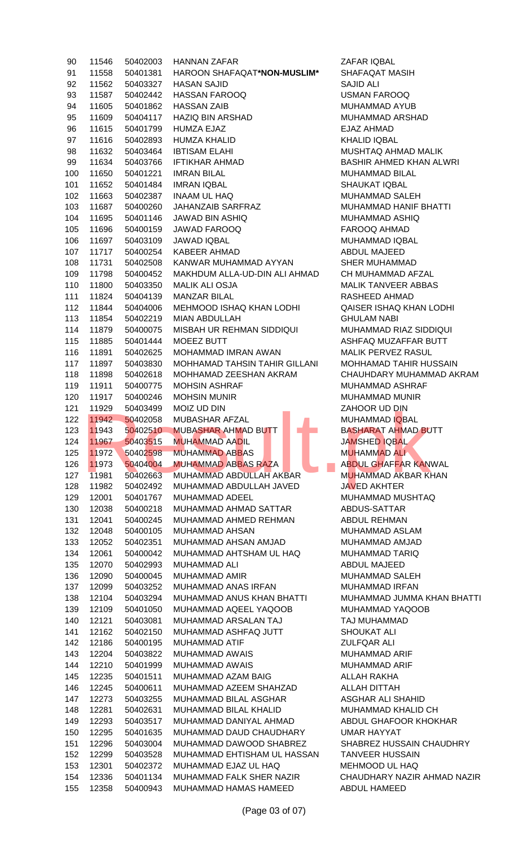| 90  | 11546 | 50402003 | <b>HANNAN ZAFAR</b>           | ZAFAR IQBAL               |
|-----|-------|----------|-------------------------------|---------------------------|
| 91  | 11558 | 50401381 | HAROON SHAFAQAT*NON-MUSLIM*   | SHAFAQAT MASIH            |
| 92  | 11562 | 50403327 | <b>HASAN SAJID</b>            | <b>SAJID ALI</b>          |
| 93  | 11587 | 50402442 | <b>HASSAN FAROOQ</b>          | <b>USMAN FAROOQ</b>       |
| 94  | 11605 | 50401862 | <b>HASSAN ZAIB</b>            | MUHAMMAD AYUB             |
| 95  | 11609 | 50404117 | <b>HAZIQ BIN ARSHAD</b>       | MUHAMMAD ARSHAD           |
| 96  | 11615 | 50401799 | <b>HUMZA EJAZ</b>             | <b>EJAZ AHMAD</b>         |
| 97  | 11616 | 50402893 | <b>HUMZA KHALID</b>           | <b>KHALID IQBAL</b>       |
| 98  | 11632 | 50403464 | <b>IBTISAM ELAHI</b>          | MUSHTAQ AHMAD MAI         |
| 99  | 11634 | 50403766 | <b>IFTIKHAR AHMAD</b>         | <b>BASHIR AHMED KHAN</b>  |
| 100 | 11650 | 50401221 | <b>IMRAN BILAL</b>            | MUHAMMAD BILAL            |
| 101 | 11652 | 50401484 | <b>IMRAN IQBAL</b>            | <b>SHAUKAT IQBAL</b>      |
| 102 | 11663 | 50402387 | <b>INAAM UL HAQ</b>           | <b>MUHAMMAD SALEH</b>     |
| 103 | 11687 | 50400260 | JAHANZAIB SARFRAZ             | MUHAMMAD HANIF BH         |
| 104 | 11695 | 50401146 | JAWAD BIN ASHIQ               | MUHAMMAD ASHIQ            |
| 105 | 11696 | 50400159 | <b>JAWAD FAROOQ</b>           | FAROOQ AHMAD              |
| 106 | 11697 | 50403109 | <b>JAWAD IQBAL</b>            | MUHAMMAD IQBAL            |
| 107 | 11717 | 50400254 | <b>KABEER AHMAD</b>           | <b>ABDUL MAJEED</b>       |
| 108 | 11731 | 50402508 | KANWAR MUHAMMAD AYYAN         | SHER MUHAMMAD             |
| 109 | 11798 | 50400452 | MAKHDUM ALLA-UD-DIN ALI AHMAD | CH MUHAMMAD AFZAI         |
| 110 | 11800 | 50403350 | <b>MALIK ALI OSJA</b>         | <b>MALIK TANVEER ABBA</b> |
| 111 | 11824 | 50404139 | <b>MANZAR BILAL</b>           | RASHEED AHMAD             |
| 112 | 11844 | 50404006 | MEHMOOD ISHAQ KHAN LODHI      | QAISER ISHAQ KHAN I       |
| 113 | 11854 | 50402219 | MIAN ABDULLAH                 | <b>GHULAM NABI</b>        |
| 114 | 11879 | 50400075 | MISBAH UR REHMAN SIDDIQUI     | MUHAMMAD RIAZ SIDI        |
| 115 | 11885 | 50401444 | <b>MOEEZ BUTT</b>             | ASHFAQ MUZAFFAR B         |
| 116 | 11891 | 50402625 | MOHAMMAD IMRAN AWAN           | MALIK PERVEZ RASUL        |
| 117 | 11897 | 50403830 | MOHHAMAD TAHSIN TAHIR GILLANI | <b>MOHHAMAD TAHIR HU</b>  |
| 118 | 11898 | 50402618 | MOHHAMAD ZEESHAN AKRAM        | <b>CHAUHDARY MUHAMM</b>   |
| 119 | 11911 | 50400775 | <b>MOHSIN ASHRAF</b>          | MUHAMMAD ASHRAF           |
| 120 | 11917 | 50400246 | <b>MOHSIN MUNIR</b>           | MUHAMMAD MUNIR            |
| 121 | 11929 | 50403499 | MOIZ UD DIN                   | ZAHOOR UD DIN             |
| 122 | 11942 | 50402058 | <b>MUBASHAR AFZAL</b>         | MUHAMMAD IQBAL            |
| 123 | 11943 | 50402510 | <b>MUBASHAR AHMAD BUTT</b>    | <b>BASHARAT AHMAD BU</b>  |
| 124 | 11967 | 50403515 | <b>MUHAMMAD AADIL</b>         | <b>JAMSHED IQBAL</b>      |
| 125 | 11972 | 50402598 | <b>MUHAMMAD ABBAS</b>         | <b>MUHAMMAD ALI</b>       |
| 126 | 11973 | 50404004 | <b>MUHAMMAD ABBAS RAZA</b>    | <b>ABDUL GHAFFAR KAN</b>  |
| 127 | 11981 | 50402663 | MUHAMMAD ABDULLAH AKBAR       | <b>MUHAMMAD AKBAR KI</b>  |
| 128 | 11982 | 50402492 | MUHAMMAD ABDULLAH JAVED       | <b>JAVED AKHTER</b>       |
| 129 | 12001 | 50401767 | MUHAMMAD ADEEL                | MUHAMMAD MUSHTA           |
| 130 | 12038 | 50400218 | MUHAMMAD AHMAD SATTAR         | ABDUS-SATTAR              |
| 131 | 12041 | 50400245 | MUHAMMAD AHMED REHMAN         | <b>ABDUL REHMAN</b>       |
| 132 | 12048 | 50400105 | MUHAMMAD AHSAN                | MUHAMMAD ASLAM            |
| 133 | 12052 | 50402351 | MUHAMMAD AHSAN AMJAD          | MUHAMMAD AMJAD            |
| 134 | 12061 | 50400042 | MUHAMMAD AHTSHAM UL HAQ       | <b>MUHAMMAD TARIQ</b>     |
| 135 | 12070 | 50402993 | MUHAMMAD ALI                  | <b>ABDUL MAJEED</b>       |
| 136 | 12090 | 50400045 | MUHAMMAD AMIR                 | <b>MUHAMMAD SALEH</b>     |
| 137 | 12099 | 50403252 | MUHAMMAD ANAS IRFAN           | MUHAMMAD IRFAN            |
| 138 | 12104 | 50403294 | MUHAMMAD ANUS KHAN BHATTI     | MUHAMMAD JUMMA K          |
| 139 | 12109 | 50401050 | MUHAMMAD AQEEL YAQOOB         | MUHAMMAD YAQOOB           |
| 140 | 12121 | 50403081 | MUHAMMAD ARSALAN TAJ          | TAJ MUHAMMAD              |
| 141 | 12162 | 50402150 | MUHAMMAD ASHFAQ JUTT          | SHOUKAT ALI               |
| 142 | 12186 | 50400195 | MUHAMMAD ATIF                 | <b>ZULFQAR ALI</b>        |
| 143 | 12204 | 50403822 | MUHAMMAD AWAIS                | MUHAMMAD ARIF             |
| 144 | 12210 | 50401999 | MUHAMMAD AWAIS                | MUHAMMAD ARIF             |
| 145 | 12235 | 50401511 | MUHAMMAD AZAM BAIG            | <b>ALLAH RAKHA</b>        |
| 146 | 12245 | 50400611 | MUHAMMAD AZEEM SHAHZAD        | <b>ALLAH DITTAH</b>       |
| 147 | 12273 | 50403255 | MUHAMMAD BILAL ASGHAR         | ASGHAR ALI SHAHID         |
| 148 | 12281 | 50402631 | MUHAMMAD BILAL KHALID         | MUHAMMAD KHALID C         |
| 149 | 12293 | 50403517 | MUHAMMAD DANIYAL AHMAD        | ABDUL GHAFOOR KHO         |
| 150 | 12295 | 50401635 | MUHAMMAD DAUD CHAUDHARY       | <b>UMAR HAYYAT</b>        |
| 151 | 12296 | 50403004 | MUHAMMAD DAWOOD SHABREZ       | SHABREZ HUSSAIN CH        |
| 152 | 12299 | 50403528 | MUHAMMAD EHTISHAM UL HASSAN   | <b>TANVEER HUSSAIN</b>    |
| 153 | 12301 | 50402372 | MUHAMMAD EJAZ UL HAQ          | MEHMOOD UL HAQ            |
| 154 | 12336 | 50401134 | MUHAMMAD FALK SHER NAZIR      | <b>CHAUDHARY NAZIR AH</b> |
| 155 | 12358 | 50400943 | MUHAMMAD HAMAS HAMEED         | ABDUL HAMEED              |

ZAFAR IQBAL SHAFAQAT MASIH SAJID ALI USMAN FAROOQ MUHAMMAD AYUB MUHAMMAD ARSHAD EJAZ AHMAD KHALID IQBAL MUSHTAQ AHMAD MALIK BASHIR AHMED KHAN ALWRI MUHAMMAD BILAL SHAUKAT IORAL MUHAMMAD SALEH MUHAMMAD HANIF BHATTI MUHAMMAD ASHIQ FAROOQ AHMAD MUHAMMAD IQBAL ABDUL MAJEED SHER MUHAMMAD CH MUHAMMAD AFZAL MALIK TANVEER ABBAS RASHEED AHMAD QAISER ISHAQ KHAN LODHI **GHULAM NABI** MUHAMMAD RIAZ SIDDIQUI ASHFAQ MUZAFFAR BUTT MALIK PERVEZ RASUL MOHHAMAD TAHIR HUSSAIN CHAUHDARY MUHAMMAD AKRAM MUHAMMAD ASHRAF MUHAMMAD MUNIR **ZAHOOR UD DIN** MUHAMMAD IQBAL BASHARAT AHMAD BUTT JAMSHED IQBAL MUHAMMAD ALI 126 11973 50404004 MUHAMMAD ABBAS RAZA ABDUL GHAFFAR KANWAL MUHAMMAD AKBAR KHAN JAVED AKHTER MUHAMMAD MUSHTAQ ABDUS-SATTAR ABDUL REHMAN MUHAMMAD ASLAM MUHAMMAD AMJAD MUHAMMAD TARIQ ABDUL MAJEED MUHAMMAD SALEH MUHAMMAD IRFAN 138 12104 50403294 MUHAMMAD ANUS KHAN BHATTI MUHAMMAD JUMMA KHAN BHATTI MUHAMMAD YAQOOB TAJ MUHAMMAD SHOUKAT ALI ZULFQAR ALI MUHAMMAD ARIF MUHAMMAD ARIF ALLAH RAKHA ALLAH DITTAH ASGHAR ALI SHAHID MUHAMMAD KHALID CH ABDUL GHAFOOR KHOKHAR UMAR HAYYAT SHABREZ HUSSAIN CHAUDHRY **TANVEER HUSSAIN** MEHMOOD UL HAQ CHAUDHARY NAZIR AHMAD NAZIR ABDUL HAMEED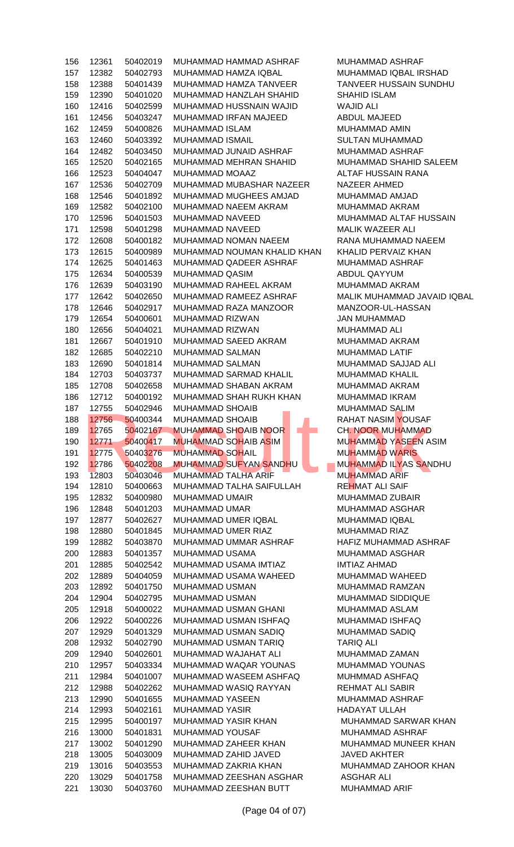| 156 | 12361 | 50402019 | MUHAMMAD HAMMAD ASHRAF        | MUHAMMAD ASHRAF           |
|-----|-------|----------|-------------------------------|---------------------------|
| 157 | 12382 | 50402793 | MUHAMMAD HAMZA IQBAL          | MUHAMMAD IQBAL IRS        |
| 158 | 12388 | 50401439 | MUHAMMAD HAMZA TANVEER        | <b>TANVEER HUSSAIN SU</b> |
| 159 | 12390 | 50401020 | MUHAMMAD HANZLAH SHAHID       | <b>SHAHID ISLAM</b>       |
| 160 | 12416 | 50402599 | MUHAMMAD HUSSNAIN WAJID       | <b>WAJID ALI</b>          |
| 161 | 12456 | 50403247 | MUHAMMAD IRFAN MAJEED         | ABDUL MAJEED              |
| 162 | 12459 | 50400826 | MUHAMMAD ISLAM                | MUHAMMAD AMIN             |
| 163 | 12460 | 50403392 | MUHAMMAD ISMAIL               | <b>SULTAN MUHAMMAD</b>    |
|     |       |          |                               |                           |
| 164 | 12482 | 50403450 | MUHAMMAD JUNAID ASHRAF        | MUHAMMAD ASHRAF           |
| 165 | 12520 | 50402165 | MUHAMMAD MEHRAN SHAHID        | MUHAMMAD SHAHID S/        |
| 166 | 12523 | 50404047 | MUHAMMAD MOAAZ                | ALTAF HUSSAIN RANA        |
| 167 | 12536 | 50402709 | MUHAMMAD MUBASHAR NAZEER      | <b>NAZEER AHMED</b>       |
| 168 | 12546 | 50401892 | MUHAMMAD MUGHEES AMJAD        | MUHAMMAD AMJAD            |
| 169 | 12582 | 50402100 | MUHAMMAD NAEEM AKRAM          | MUHAMMAD AKRAM            |
| 170 | 12596 | 50401503 | MUHAMMAD NAVEED               | MUHAMMAD ALTAF HU         |
| 171 | 12598 | 50401298 | MUHAMMAD NAVEED               | MALIK WAZEER ALI          |
| 172 | 12608 | 50400182 | MUHAMMAD NOMAN NAEEM          | RANA MUHAMMAD NAE         |
| 173 | 12615 | 50400989 | MUHAMMAD NOUMAN KHALID KHAN   | KHALID PERVAIZ KHAN       |
| 174 | 12625 | 50401463 | MUHAMMAD QADEER ASHRAF        | MUHAMMAD ASHRAF           |
| 175 | 12634 | 50400539 | MUHAMMAD QASIM                | ABDUL QAYYUM              |
| 176 | 12639 | 50403190 | MUHAMMAD RAHEEL AKRAM         | MUHAMMAD AKRAM            |
| 177 | 12642 | 50402650 | MUHAMMAD RAMEEZ ASHRAF        | MALIK MUHAMMAD JAV        |
| 178 | 12646 | 50402917 | MUHAMMAD RAZA MANZOOR         | MANZOOR-UL-HASSAN         |
|     |       |          |                               |                           |
| 179 | 12654 | 50400601 | MUHAMMAD RIZWAN               | JAN MUHAMMAD              |
| 180 | 12656 | 50404021 | MUHAMMAD RIZWAN               | <b>MUHAMMAD ALI</b>       |
| 181 | 12667 | 50401910 | MUHAMMAD SAEED AKRAM          | MUHAMMAD AKRAM            |
| 182 | 12685 | 50402210 | MUHAMMAD SALMAN               | MUHAMMAD LATIF            |
| 183 | 12690 | 50401814 | MUHAMMAD SALMAN               | MUHAMMAD SAJJAD AL        |
| 184 | 12703 | 50403737 | MUHAMMAD SARMAD KHALIL        | MUHAMMAD KHALIL           |
| 185 | 12708 | 50402658 | MUHAMMAD SHABAN AKRAM         | MUHAMMAD AKRAM            |
| 186 | 12712 | 50400192 | MUHAMMAD SHAH RUKH KHAN       | MUHAMMAD IKRAM            |
| 187 | 12755 | 50402946 | <b>MUHAMMAD SHOAIB</b>        | <b>MUHAMMAD SALIM</b>     |
| 188 | 12756 | 50400344 | <b>MUHAMMAD SHOAIB</b>        | RAHAT NASIM YOUSAF        |
| 189 | 12765 | 50402167 | <b>MUHAMMAD SHOAIB NOOR</b>   | <b>CH. NOOR MUHAMMAD</b>  |
| 190 | 12771 | 50400417 | <b>MUHAMMAD SOHAIB ASIM</b>   | MUHAMMAD YASEEN A         |
| 191 | 12775 | 50403276 | <b>MUHAMMAD SOHAIL</b>        | <b>MUHAMMAD WARIS</b>     |
| 192 | 12786 | 50402208 | <b>MUHAMMAD SUFYAN SANDHU</b> | <b>MUHAMMAD ILYAS SAN</b> |
| 193 | 12803 | 50403046 | MUHAMMAD TALHA ARIF           | <b>MUHAMMAD ARIF</b>      |
| 194 | 12810 | 50400663 | MUHAMMAD TALHA SAIFULLAH      | <b>REHMAT ALI SAIF</b>    |
| 195 | 12832 | 50400980 | MUHAMMAD UMAIR                | MUHAMMAD ZUBAIR           |
| 196 | 12848 | 50401203 | MUHAMMAD UMAR                 | MUHAMMAD ASGHAR           |
| 197 | 12877 | 50402627 | MUHAMMAD UMER IQBAL           | MUHAMMAD IQBAL            |
|     |       |          |                               |                           |
| 198 | 12880 | 50401845 | MUHAMMAD UMER RIAZ            | MUHAMMAD RIAZ             |
| 199 | 12882 | 50403870 | MUHAMMAD UMMAR ASHRAF         | HAFIZ MUHAMMAD ASH        |
| 200 | 12883 | 50401357 | <b>MUHAMMAD USAMA</b>         | <b>MUHAMMAD ASGHAR</b>    |
| 201 | 12885 | 50402542 | MUHAMMAD USAMA IMTIAZ         | <b>IMTIAZ AHMAD</b>       |
| 202 | 12889 | 50404059 | MUHAMMAD USAMA WAHEED         | MUHAMMAD WAHEED           |
| 203 | 12892 | 50401750 | MUHAMMAD USMAN                | MUHAMMAD RAMZAN           |
| 204 | 12904 | 50402795 | MUHAMMAD USMAN                | MUHAMMAD SIDDIQUE         |
| 205 | 12918 | 50400022 | MUHAMMAD USMAN GHANI          | MUHAMMAD ASLAM            |
| 206 | 12922 | 50400226 | MUHAMMAD USMAN ISHFAQ         | MUHAMMAD ISHFAQ           |
| 207 | 12929 | 50401329 | MUHAMMAD USMAN SADIQ          | MUHAMMAD SADIQ            |
| 208 | 12932 | 50402790 | MUHAMMAD USMAN TARIQ          | <b>TARIQ ALI</b>          |
| 209 | 12940 | 50402601 | MUHAMMAD WAJAHAT ALI          | MUHAMMAD ZAMAN            |
| 210 | 12957 | 50403334 | MUHAMMAD WAQAR YOUNAS         | MUHAMMAD YOUNAS           |
| 211 | 12984 | 50401007 | MUHAMMAD WASEEM ASHFAQ        | MUHMMAD ASHFAQ            |
| 212 | 12988 | 50402262 | MUHAMMAD WASIQ RAYYAN         | <b>REHMAT ALI SABIR</b>   |
| 213 | 12990 | 50401655 | MUHAMMAD YASEEN               | MUHAMMAD ASHRAF           |
| 214 | 12993 | 50402161 | <b>MUHAMMAD YASIR</b>         | HADAYAT ULLAH             |
| 215 | 12995 | 50400197 | MUHAMMAD YASIR KHAN           | <b>MUHAMMAD SARWAR</b>    |
| 216 |       | 50401831 | MUHAMMAD YOUSAF               | MUHAMMAD ASHRAF           |
|     | 13000 |          | MUHAMMAD ZAHEER KHAN          |                           |
| 217 | 13002 | 50401290 |                               | <b>MUHAMMAD MUNEER</b>    |
| 218 | 13005 | 50403009 | MUHAMMAD ZAHID JAVED          | <b>JAVED AKHTER</b>       |
| 219 | 13016 | 50403553 | MUHAMMAD ZAKRIA KHAN          | MUHAMMAD ZAHOOR           |
| 220 | 13029 | 50401758 | MUHAMMAD ZEESHAN ASGHAR       | <b>ASGHAR ALI</b>         |
| 221 | 13030 | 50403760 | MUHAMMAD ZEESHAN BUTT         | MUHAMMAD ARIF             |

MUHAMMAD ASHRAF MUHAMMAD IQBAL IRSHAD TANVEER HUSSAIN SUNDHU SHAHID ISLAM WAJID ALI ABDUL MAJEED MUHAMMAD AMIN SULTAN MUHAMMAD MUHAMMAD ASHRAF MUHAMMAD SHAHID SALEEM **ALTAF HUSSAIN RANA** NAZEER AHMED MUHAMMAD AMJAD MUHAMMAD AKRAM MUHAMMAD ALTAF HUSSAIN MALIK WAZEER ALI RANA MUHAMMAD NAEEM KHALID PERVAIZ KHAN MUHAMMAD ASHRAF ABDUL QAYYUM MUHAMMAD AKRAM MALIK MUHAMMAD JAVAID IQBAL MANZOOR-UL-HASSAN JAN MUHAMMAD MUHAMMAD ALI MUHAMMAD AKRAM MUHAMMAD LATIF MUHAMMAD SAJJAD ALI MUHAMMAD KHALIL MUHAMMAD AKRAM MUHAMMAD IKRAM MUHAMMAD SALIM RAHAT NASIM YOUSAF CH. NOOR MUHAMMAD MUHAMMAD YASEEN ASIM MUHAMMAD WARIS MUHAMMAD ILYAS SANDHU MUHAMMAD ARIF REHMAT ALI SAIF MUHAMMAD ZUBAIR MUHAMMAD ASGHAR MUHAMMAD IQBAL MUHAMMAD RIAZ HAFIZ MUHAMMAD ASHRAF MUHAMMAD ASGHAR IMTIAZ AHMAD MUHAMMAD WAHEED MUHAMMAD RAMZAN MUHAMMAD SIDDIQUE MUHAMMAD ASLAM MUHAMMAD ISHFAQ MUHAMMAD SADIQ **TARIQ ALI** MUHAMMAD ZAMAN MUHAMMAD YOUNAS MUHMMAD ASHFAQ REHMAT ALI SABIR MUHAMMAD ASHRAF HADAYAT ULLAH MUHAMMAD SARWAR KHAN MUHAMMAD ASHRAF MUHAMMAD MUNEER KHAN JAVED AKHTER MUHAMMAD ZAHOOR KHAN ASGHAR ALI MUHAMMAD ARIF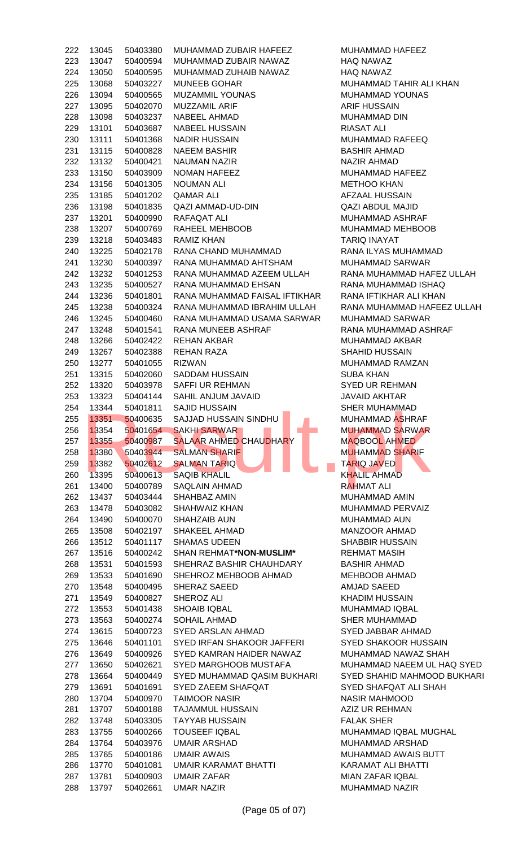| 222 | 13045 | 50403380 | MUHAMMAD ZUBAIR HAFEEZ        | MUHAMMAD HAFEEZ           |
|-----|-------|----------|-------------------------------|---------------------------|
| 223 | 13047 | 50400594 | MUHAMMAD ZUBAIR NAWAZ         | <b>HAQ NAWAZ</b>          |
| 224 | 13050 | 50400595 | MUHAMMAD ZUHAIB NAWAZ         | <b>HAQ NAWAZ</b>          |
| 225 | 13068 | 50403227 | <b>MUNEEB GOHAR</b>           | MUHAMMAD TAHIR AL         |
| 226 | 13094 | 50400565 | <b>MUZAMMIL YOUNAS</b>        | MUHAMMAD YOUNAS           |
| 227 | 13095 | 50402070 | <b>MUZZAMIL ARIF</b>          | <b>ARIF HUSSAIN</b>       |
| 228 | 13098 | 50403237 | <b>NABEEL AHMAD</b>           | MUHAMMAD DIN              |
| 229 | 13101 | 50403687 | <b>NABEEL HUSSAIN</b>         | <b>RIASAT ALI</b>         |
| 230 | 13111 | 50401368 | <b>NADIR HUSSAIN</b>          | MUHAMMAD RAFEEQ           |
| 231 | 13115 | 50400828 | <b>NAEEM BASHIR</b>           | <b>BASHIR AHMAD</b>       |
| 232 | 13132 | 50400421 | <b>NAUMAN NAZIR</b>           | <b>NAZIR AHMAD</b>        |
| 233 | 13150 | 50403909 | NOMAN HAFEEZ                  | MUHAMMAD HAFEEZ           |
| 234 | 13156 | 50401305 | <b>NOUMAN ALI</b>             | <b>METHOO KHAN</b>        |
| 235 | 13185 | 50401202 | <b>QAMAR ALI</b>              | AFZAAL HUSSAIN            |
| 236 | 13198 | 50401835 | QAZI AMMAD-UD-DIN             | <b>QAZI ABDUL MAJID</b>   |
| 237 | 13201 | 50400990 | RAFAQAT ALI                   | MUHAMMAD ASHRAF           |
| 238 | 13207 | 50400769 | RAHEEL MEHBOOB                | MUHAMMAD MEHBOO           |
| 239 | 13218 | 50403483 | RAMIZ KHAN                    | <b>TARIQ INAYAT</b>       |
| 240 | 13225 | 50402178 | RANA CHAND MUHAMMAD           | RANA ILYAS MUHAMM         |
| 241 | 13230 | 50400397 | RANA MUHAMMAD AHTSHAM         | MUHAMMAD SARWAR           |
| 242 | 13232 | 50401253 | RANA MUHAMMAD AZEEM ULLAH     | RANA MUHAMMAD HA          |
| 243 | 13235 | 50400527 | RANA MUHAMMAD EHSAN           | <b>RANA MUHAMMAD ISH</b>  |
| 244 | 13236 | 50401801 | RANA MUHAMMAD FAISAL IFTIKHAR | RANA IFTIKHAR ALI KH      |
| 245 | 13238 | 50400324 | RANA MUHAMMAD IBRAHIM ULLAH   | RANA MUHAMMAD HA          |
| 246 | 13245 | 50400460 | RANA MUHAMMAD USAMA SARWAR    | MUHAMMAD SARWAR           |
| 247 | 13248 | 50401541 | RANA MUNEEB ASHRAF            | RANA MUHAMMAD AS          |
| 248 | 13266 | 50402422 | <b>REHAN AKBAR</b>            | MUHAMMAD AKBAR            |
| 249 | 13267 | 50402388 | <b>REHAN RAZA</b>             | <b>SHAHID HUSSAIN</b>     |
| 250 | 13277 | 50401055 | <b>RIZWAN</b>                 | MUHAMMAD RAMZAN           |
| 251 | 13315 | 50402060 | <b>SADDAM HUSSAIN</b>         | <b>SUBA KHAN</b>          |
| 252 | 13320 | 50403978 | <b>SAFFI UR REHMAN</b>        | <b>SYED UR REHMAN</b>     |
| 253 | 13323 | 50404144 | SAHIL ANJUM JAVAID            | <b>JAVAID AKHTAR</b>      |
| 254 | 13344 | 50401811 | <b>SAJID HUSSAIN</b>          | <b>SHER MUHAMMAD</b>      |
| 255 | 13351 | 50400635 | SAJJAD HUSSAIN SINDHU         | MUHAMMAD ASHRAF           |
| 256 | 13354 | 50401654 | <b>SAKHI SARWAR</b>           | <b>MUHAMMAD SARWAR</b>    |
| 257 | 13355 | 50400987 | <b>SALAAR AHMED CHAUDHARY</b> | <b>MAQBOOL AHMED</b>      |
| 258 | 13380 | 50403944 | <b>SALMAN SHARIF</b>          | <b>MUHAMMAD SHARIF</b>    |
| 259 | 13382 | 50402612 | <b>SALMAN TARIQ</b>           | <b>TARIQ JAVED</b>        |
| 260 | 13395 | 50400613 | <b>SAQIB KHALIL</b>           | <b>KHALIL AHMAD</b>       |
| 261 | 13400 | 50400789 | <b>SAQLAIN AHMAD</b>          | <b>RAHMAT ALI</b>         |
| 262 | 13437 | 50403444 | SHAHBAZ AMIN                  | MUHAMMAD AMIN             |
| 263 | 13478 | 50403082 | SHAHWAIZ KHAN                 | MUHAMMAD PERVAIZ          |
| 264 | 13490 | 50400070 | <b>SHAHZAIB AUN</b>           |                           |
| 265 | 13508 |          |                               |                           |
|     |       |          |                               | MUHAMMAD AUN              |
|     |       | 50402197 | <b>SHAKEEL AHMAD</b>          | <b>MANZOOR AHMAD</b>      |
| 266 | 13512 | 50401117 | <b>SHAMAS UDEEN</b>           | <b>SHABBIR HUSSAIN</b>    |
| 267 | 13516 | 50400242 | SHAN REHMAT*NON-MUSLIM*       | <b>REHMAT MASIH</b>       |
| 268 | 13531 | 50401593 | SHEHRAZ BASHIR CHAUHDARY      | <b>BASHIR AHMAD</b>       |
| 269 | 13533 | 50401690 | SHEHROZ MEHBOOB AHMAD         | <b>MEHBOOB AHMAD</b>      |
| 270 | 13548 | 50400495 | SHERAZ SAEED                  | <b>AMJAD SAEED</b>        |
| 271 | 13549 | 50400827 | SHEROZ ALI                    | <b>KHADIM HUSSAIN</b>     |
| 272 | 13553 | 50401438 | <b>SHOAIB IQBAL</b>           | MUHAMMAD IQBAL            |
| 273 | 13563 | 50400274 | <b>SOHAIL AHMAD</b>           | <b>SHER MUHAMMAD</b>      |
| 274 | 13615 | 50400723 | SYED ARSLAN AHMAD             | SYED JABBAR AHMAD         |
| 275 | 13646 | 50401101 | SYED IRFAN SHAKOOR JAFFERI    | <b>SYED SHAKOOR HUSS</b>  |
| 276 | 13649 | 50400926 | SYED KAMRAN HAIDER NAWAZ      | MUHAMMAD NAWAZ S          |
| 277 | 13650 | 50402621 | SYED MARGHOOB MUSTAFA         | MUHAMMAD NAEEM U          |
| 278 | 13664 | 50400449 | SYED MUHAMMAD QASIM BUKHARI   | <b>SYED SHAHID MAHMO</b>  |
| 279 | 13691 | 50401691 | SYED ZAEEM SHAFQAT            | SYED SHAFQAT ALI SH       |
| 280 | 13704 | 50400970 | <b>TAIMOOR NASIR</b>          | <b>NASIR MAHMOOD</b>      |
| 281 | 13707 | 50400188 | <b>TAJAMMUL HUSSAIN</b>       | AZIZ UR REHMAN            |
| 282 | 13748 | 50403305 | <b>TAYYAB HUSSAIN</b>         | <b>FALAK SHER</b>         |
| 283 | 13755 | 50400266 | <b>TOUSEEF IQBAL</b>          | MUHAMMAD IQBAL MU         |
| 284 | 13764 | 50403976 | <b>UMAIR ARSHAD</b>           | MUHAMMAD ARSHAD           |
| 285 | 13765 | 50400186 | <b>UMAIR AWAIS</b>            | MUHAMMAD AWAIS BU         |
| 286 | 13770 | 50401081 | UMAIR KARAMAT BHATTI          | <b>KARAMAT ALI BHATTI</b> |
| 287 | 13781 | 50400903 | UMAIR ZAFAR                   | MIAN ZAFAR IQBAL          |

MUHAMMAD HAFEEZ HAQ NAWAZ HAQ NAWAZ MUHAMMAD TAHIR ALI KHAN MUHAMMAD YOUNAS ARIF HUSSAIN MUHAMMAD DIN RIASAT ALI MUHAMMAD RAFEEQ BASHIR AHMAD NAZIR AHMAD MUHAMMAD HAFEEZ **METHOO KHAN** AFZAAL HUSSAIN QAZI ABDUL MAJID MUHAMMAD ASHRAF MUHAMMAD MEHBOOB **TARIQ INAYAT** RANA ILYAS MUHAMMAD MUHAMMAD SARWAR RANA MUHAMMAD HAFEZ ULLAH RANA MUHAMMAD ISHAQ RANA IFTIKHAR ALI KHAN RANA MUHAMMAD HAFEEZ ULLAH MUHAMMAD SARWAR RANA MUHAMMAD ASHRAF MUHAMMAD AKBAR SHAHID HUSSAIN MUHAMMAD RAMZAN **SUBA KHAN SYED UR REHMAN** JAVAID AKHTAR **SHER MUHAMMAD** MUHAMMAD ASHRAF MUHAMMAD SARWAR MAQBOOL AHMED MUHAMMAD SHARIF 1358 TARIQ JAVED KHALIL AHMAD **RAHMAT ALI** MUHAMMAD AMIN MUHAMMAD PERVAIZ MUHAMMAD AUN MANZOOR AHMAD SHABBIR HUSSAIN 267 13516 50400242 SHAN REHMAT**\*NON-MUSLIM\*** REHMAT MASIH BASHIR AHMAD MEHBOOB AHMAD AMJAD SAEED KHADIM HUSSAIN MUHAMMAD IQBAL SHER MUHAMMAD SYED JABBAR AHMAD SYED SHAKOOR HUSSAIN MUHAMMAD NAWAZ SHAH MUHAMMAD NAEEM UL HAQ SYED SYED SHAHID MAHMOOD BUKHARI SYED SHAFQAT ALI SHAH NASIR MAHMOOD AZIZ UR REHMAN **FALAK SHER** MUHAMMAD IQBAL MUGHAL MUHAMMAD ARSHAD MUHAMMAD AWAIS BUTT KARAMAT ALI BHATTI MIAN ZAFAR IQBAL MUHAMMAD NAZIR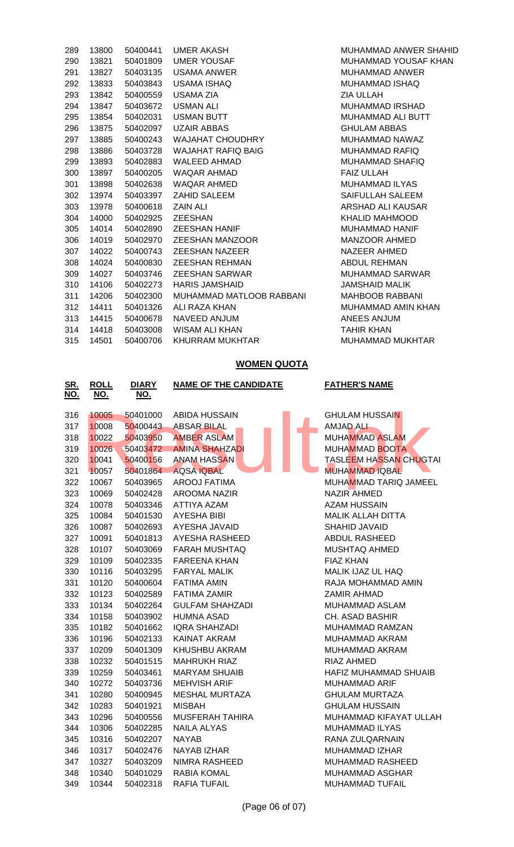| 289 | 13800     | 50400441 | UMER AKASH                     |
|-----|-----------|----------|--------------------------------|
| 290 | 13821     | 50401809 | <b>UMER YOUSAF</b>             |
| 291 | 13827     | 50403135 | <b>USAMA ANWER</b>             |
| 292 | 13833     | 50403843 | USAMA ISHAQ                    |
| 293 | 13842     | 50400559 | USAMA ZIA                      |
| 294 | 13847     | 50403672 | <b>USMAN ALI</b>               |
| 295 | 13854     | 50402031 | <b>USMAN BUTT</b>              |
| 296 | 13875     | 50402097 | <b>UZAIR ABBAS</b>             |
| 297 | 13885     |          | 50400243 WAJAHAT CHOUDHRY      |
| 298 | 13886     |          | 50403728 WAJAHAT RAFIQ BAIG    |
| 299 | 13893     |          | 50402883 WALEED AHMAD          |
| 300 | 13897     |          | 50400205 WAQAR AHMAD           |
| 301 | 13898     |          | 50402638 WAQAR AHMED           |
| 302 | 13974     |          | 50403397 ZAHID SALEEM          |
| 303 | 13978     | 50400618 | <b>ZAIN ALI</b>                |
| 304 | 14000     | 50402925 | <b>ZEESHAN</b>                 |
| 305 | 14014     |          | 50402890 ZEESHAN HANIF         |
| 306 | 14019     |          | 50402970 ZEESHAN MANZOOR       |
| 307 | 14022     | 50400743 | <b>ZEESHAN NAZEER</b>          |
| 308 | 14024     | 50400830 | <b>ZEESHAN REHMAN</b>          |
| 309 | 14027     | 50403746 | <b>ZEESHAN SARWAR</b>          |
| 310 | 14106     | 50402273 | <b>HARIS JAMSHAID</b>          |
| 311 | 14206     | 50402300 | <b>MUHAMMAD MATLOOB RABBAI</b> |
| 312 | 14411     | 50401326 | ALI RAZA KHAN                  |
|     | 313 14415 | 50400678 | NAVEED ANJUM                   |
|     | 314 14418 | 50403008 | WISAM ALI KHAN                 |
| 315 | 14501     | 50400706 | KHURRAM MUKHTAR                |
|     |           |          |                                |

MUHAMMAD ANWER SHAHID MUHAMMAD YOUSAF KHAN MUHAMMAD ANWER MUHAMMAD ISHAQ ZIA ULLAH MUHAMMAD IRSHAD MUHAMMAD ALI BUTT GHULAM ABBAS MUHAMMAD NAWAZ MUHAMMAD RAFIQ MUHAMMAD SHAFIQ FAIZ ULLAH MUHAMMAD ILYAS SAIFULLAH SALEEM ARSHAD ALI KAUSAR KHALID MAHMOOD MUHAMMAD HANIF MANZOOR AHMED NAZEER AHMED ABDUL REHMAN MUHAMMAD SARWAR JAMSHAID MALIK NI MAHBOOB RABBANI MUHAMMAD AMIN KHAN ANEES ANJUM TAHIR KHAN MUHAMMAD MUKHTAR

## **WOMEN QUOTA**

| <u>SR.</u><br>NO. | <b>ROLL</b><br><u>NO.</u> | <b>DIARY</b><br>NO. | <b>NAME OF THE CANDIDATE</b> | <b>FATHER'S NAME</b>          |
|-------------------|---------------------------|---------------------|------------------------------|-------------------------------|
| 316               | 10005                     | 50401000            | <b>ABIDA HUSSAIN</b>         | <b>GHULAM HUSSAIN</b>         |
| 317               | 10008                     | 50400443            | <b>ABSAR BILAL</b>           | <b>AMJAD ALL</b>              |
| 318               | 10022                     | 50403950            | <b>AMBER ASLAM</b>           | <b>MUHAMMAD ASLAM</b>         |
| 319               | 10026                     | 50403472            | <b>AMINA SHAHZADI</b>        | <b>MUHAMMAD BOOTA</b>         |
| 320               | 10041                     | 50400156            | <b>ANAM HASSAN</b>           | <b>TASLEEM HASSAN CHUGTAI</b> |
| 321               | 10057                     | 50401864            | <b>AQSA IQBAL</b>            | <b>MUHAMMAD IQBAL</b>         |
| 322               | 10067                     | 50403965            | <b>AROOJ FATIMA</b>          | MUHAMMAD TARIQ JAMEEL         |
| 323               | 10069                     | 50402428            | <b>AROOMA NAZIR</b>          | NAZIR AHMED                   |
| 324               | 10078                     | 50403346            | <b>ATTIYA AZAM</b>           | <b>AZAM HUSSAIN</b>           |
| 325               | 10084                     | 50401530            | <b>AYESHA BIBI</b>           | <b>MALIK ALLAH DITTA</b>      |
| 326               | 10087                     | 50402693            | AYESHA JAVAID                | SHAHID JAVAID                 |
| 327               | 10091                     | 50401813            | AYESHA RASHEED               | <b>ABDUL RASHEED</b>          |
| 328               | 10107                     | 50403069            | <b>FARAH MUSHTAQ</b>         | MUSHTAQ AHMED                 |
| 329               | 10109                     | 50402335            | <b>FAREENA KHAN</b>          | <b>FIAZ KHAN</b>              |
| 330               | 10116                     | 50403295            | <b>FARYAL MALIK</b>          | MALIK IJAZ UL HAQ             |
| 331               | 10120                     | 50400604            | <b>FATIMA AMIN</b>           | RAJA MOHAMMAD AMIN            |
| 332               | 10123                     | 50402589            | <b>FATIMA ZAMIR</b>          | ZAMIR AHMAD                   |
| 333               | 10134                     | 50402264            | <b>GULFAM SHAHZADI</b>       | MUHAMMAD ASLAM                |
| 334               | 10158                     | 50403902            | <b>HUMNA ASAD</b>            | CH. ASAD BASHIR               |
| 335               | 10182                     | 50401662            | <b>IQRA SHAHZADI</b>         | MUHAMMAD RAMZAN               |
| 336               | 10196                     | 50402133            | <b>KAINAT AKRAM</b>          | MUHAMMAD AKRAM                |
| 337               | 10209                     | 50401309            | KHUSHBU AKRAM                | MUHAMMAD AKRAM                |
| 338               | 10232                     | 50401515            | <b>MAHRUKH RIAZ</b>          | RIAZ AHMED                    |
| 339               | 10259                     | 50403461            | <b>MARYAM SHUAIB</b>         | HAFIZ MUHAMMAD SHUAIB         |
| 340               | 10272                     | 50403736            | <b>MEHVISH ARIF</b>          | MUHAMMAD ARIF                 |
| 341               | 10280                     | 50400945            | <b>MESHAL MURTAZA</b>        | <b>GHULAM MURTAZA</b>         |
| 342               | 10283                     | 50401921            | <b>MISBAH</b>                | <b>GHULAM HUSSAIN</b>         |
| 343               | 10296                     | 50400556            | <b>MUSFERAH TAHIRA</b>       | MUHAMMAD KIFAYAT ULLAH        |
| 344               | 10306                     | 50402285            | <b>NAILA ALYAS</b>           | MUHAMMAD ILYAS                |
| 345               | 10316                     | 50402207            | <b>NAYAB</b>                 | RANA ZULQARNAIN               |
| 346               | 10317                     | 50402476            | <b>NAYAB IZHAR</b>           | MUHAMMAD IZHAR                |
| 347               | 10327                     | 50403209            | <b>NIMRA RASHEED</b>         | MUHAMMAD RASHEED              |
| 348               | 10340                     | 50401029            | <b>RABIA KOMAL</b>           | MUHAMMAD ASGHAR               |
| 349               | 10344                     | 50402318            | <b>RAFIA TUFAIL</b>          | <b>MUHAMMAD TUFAIL</b>        |